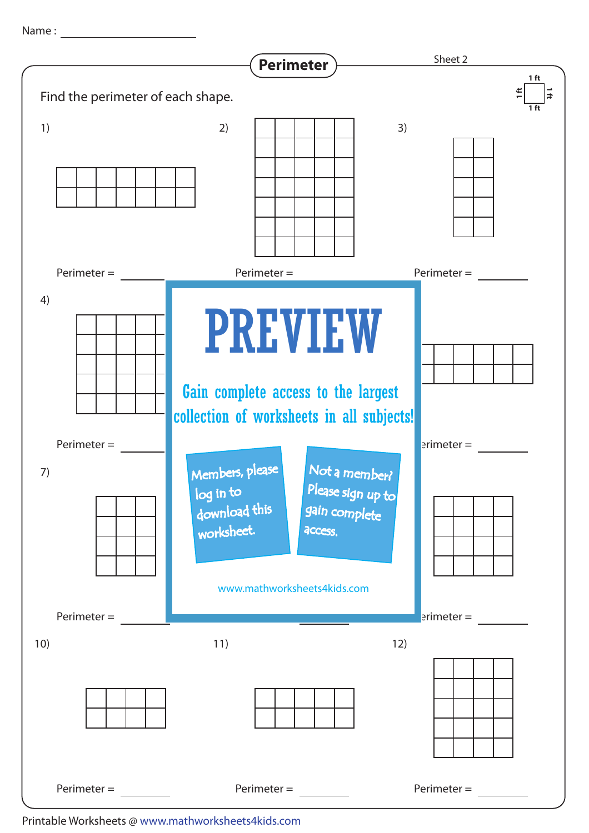Name : with the state of  $\sim$ 



Printable Worksheets @ www.mathworksheets4kids.com